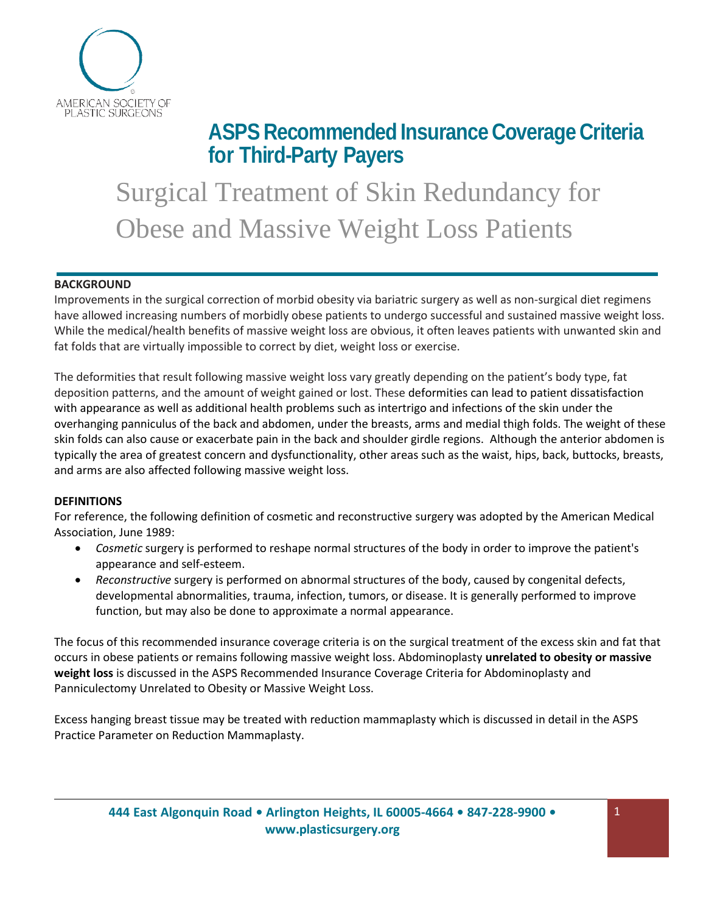

**ASPS RecommendedInsurance Coverage Criteria for Third-Party Payers**

Surgical Treatment of Skin Redundancy for Obese and Massive Weight Loss Patients

### **BACKGROUND**

Improvements in the surgical correction of morbid obesity via bariatric surgery as well as non-surgical diet regimens have allowed increasing numbers of morbidly obese patients to undergo successful and sustained massive weight loss. While the medical/health benefits of massive weight loss are obvious, it often leaves patients with unwanted skin and fat folds that are virtually impossible to correct by diet, weight loss or exercise.

The deformities that result following massive weight loss vary greatly depending on the patient's body type, fat deposition patterns, and the amount of weight gained or lost. These deformities can lead to patient dissatisfaction with appearance as well as additional health problems such as intertrigo and infections of the skin under the overhanging panniculus of the back and abdomen, under the breasts, arms and medial thigh folds. The weight of these skin folds can also cause or exacerbate pain in the back and shoulder girdle regions. Although the anterior abdomen is typically the area of greatest concern and dysfunctionality, other areas such as the waist, hips, back, buttocks, breasts, and arms are also affected following massive weight loss.

# **DEFINITIONS**

For reference, the following definition of cosmetic and reconstructive surgery was adopted by the American Medical Association, June 1989:

- *Cosmetic* surgery is performed to reshape normal structures of the body in order to improve the patient's appearance and self-esteem.
- *Reconstructive* surgery is performed on abnormal structures of the body, caused by congenital defects, developmental abnormalities, trauma, infection, tumors, or disease. It is generally performed to improve function, but may also be done to approximate a normal appearance.

The focus of this recommended insurance coverage criteria is on the surgical treatment of the excess skin and fat that occurs in obese patients or remains following massive weight loss. Abdominoplasty **unrelated to obesity or massive weight loss** is discussed in the ASPS Recommended Insurance Coverage Criteria for Abdominoplasty and Panniculectomy Unrelated to Obesity or Massive Weight Loss.

Excess hanging breast tissue may be treated with reduction mammaplasty which is discussed in detail in the ASPS Practice Parameter on Reduction Mammaplasty.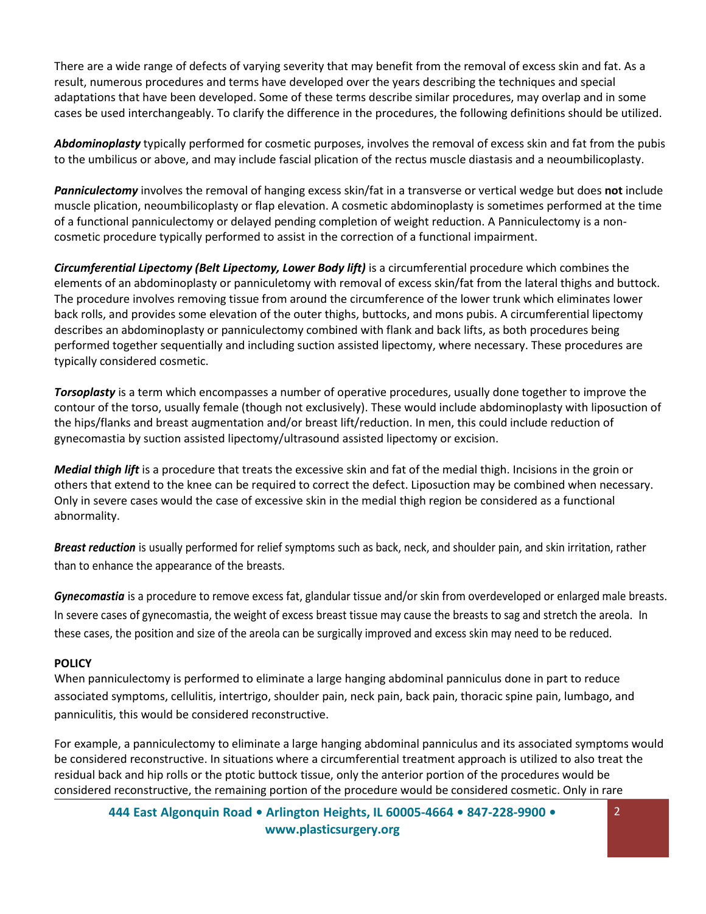There are a wide range of defects of varying severity that may benefit from the removal of excess skin and fat. As a result, numerous procedures and terms have developed over the years describing the techniques and special adaptations that have been developed. Some of these terms describe similar procedures, may overlap and in some cases be used interchangeably. To clarify the difference in the procedures, the following definitions should be utilized.

*Abdominoplasty* typically performed for cosmetic purposes, involves the removal of excess skin and fat from the pubis to the umbilicus or above, and may include fascial plication of the rectus muscle diastasis and a neoumbilicoplasty.

*Panniculectomy* involves the removal of hanging excess skin/fat in a transverse or vertical wedge but does **not** include muscle plication, neoumbilicoplasty or flap elevation. A cosmetic abdominoplasty is sometimes performed at the time of a functional panniculectomy or delayed pending completion of weight reduction. A Panniculectomy is a noncosmetic procedure typically performed to assist in the correction of a functional impairment.

*Circumferential Lipectomy (Belt Lipectomy, Lower Body lift)* is a circumferential procedure which combines the elements of an abdominoplasty or panniculetomy with removal of excess skin/fat from the lateral thighs and buttock. The procedure involves removing tissue from around the circumference of the lower trunk which eliminates lower back rolls, and provides some elevation of the outer thighs, buttocks, and mons pubis. A circumferential lipectomy describes an abdominoplasty or panniculectomy combined with flank and back lifts, as both procedures being performed together sequentially and including suction assisted lipectomy, where necessary. These procedures are typically considered cosmetic.

*Torsoplasty* is a term which encompasses a number of operative procedures, usually done together to improve the contour of the torso, usually female (though not exclusively). These would include abdominoplasty with liposuction of the hips/flanks and breast augmentation and/or breast lift/reduction. In men, this could include reduction of gynecomastia by suction assisted lipectomy/ultrasound assisted lipectomy or excision.

*Medial thigh lift* is a procedure that treats the excessive skin and fat of the medial thigh. Incisions in the groin or others that extend to the knee can be required to correct the defect. Liposuction may be combined when necessary. Only in severe cases would the case of excessive skin in the medial thigh region be considered as a functional abnormality.

*Breast reduction* is usually performed for relief symptoms such as back, neck, and shoulder pain, and skin irritation, rather than to enhance the appearance of the breasts.

*Gynecomastia* is a procedure to remove excess fat, glandular tissue and/or skin from overdeveloped or enlarged male breasts. In severe cases of gynecomastia, the weight of excess breast tissue may cause the breasts to sag and stretch the areola. In these cases, the position and size of the areola can be surgically improved and excess skin may need to be reduced.

# **POLICY**

When panniculectomy is performed to eliminate a large hanging abdominal panniculus done in part to reduce associated symptoms, cellulitis, intertrigo, shoulder pain, neck pain, back pain, thoracic spine pain, lumbago, and panniculitis, this would be considered reconstructive.

For example, a panniculectomy to eliminate a large hanging abdominal panniculus and its associated symptoms would be considered reconstructive. In situations where a circumferential treatment approach is utilized to also treat the residual back and hip rolls or the ptotic buttock tissue, only the anterior portion of the procedures would be considered reconstructive, the remaining portion of the procedure would be considered cosmetic. Only in rare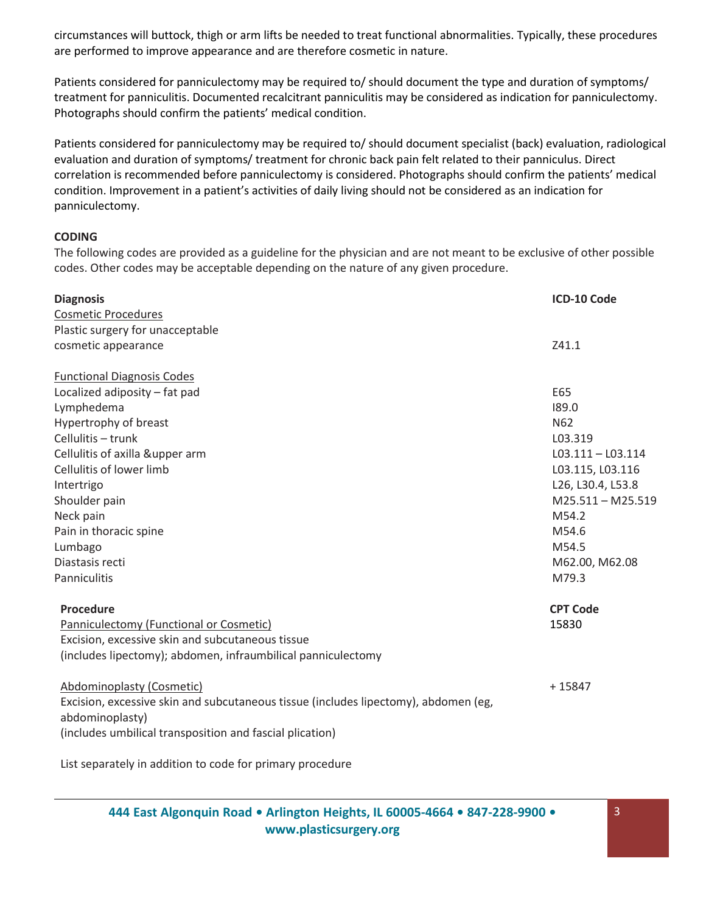circumstances will buttock, thigh or arm lifts be needed to treat functional abnormalities. Typically, these procedures are performed to improve appearance and are therefore cosmetic in nature.

Patients considered for panniculectomy may be required to/ should document the type and duration of symptoms/ treatment for panniculitis. Documented recalcitrant panniculitis may be considered as indication for panniculectomy. Photographs should confirm the patients' medical condition.

Patients considered for panniculectomy may be required to/ should document specialist (back) evaluation, radiological evaluation and duration of symptoms/ treatment for chronic back pain felt related to their panniculus. Direct correlation is recommended before panniculectomy is considered. Photographs should confirm the patients' medical condition. Improvement in a patient's activities of daily living should not be considered as an indication for panniculectomy.

### **CODING**

The following codes are provided as a guideline for the physician and are not meant to be exclusive of other possible codes. Other codes may be acceptable depending on the nature of any given procedure.

| <b>Diagnosis</b>                                                                    | ICD-10 Code         |
|-------------------------------------------------------------------------------------|---------------------|
| <b>Cosmetic Procedures</b>                                                          |                     |
| Plastic surgery for unacceptable                                                    |                     |
| cosmetic appearance                                                                 | Z41.1               |
| <b>Functional Diagnosis Codes</b>                                                   |                     |
| Localized adiposity - fat pad                                                       | E65                 |
| Lymphedema                                                                          | 189.0               |
| Hypertrophy of breast                                                               | N <sub>62</sub>     |
| Cellulitis - trunk                                                                  | L03.319             |
| Cellulitis of axilla &upper arm                                                     | $L03.111 - L03.114$ |
| Cellulitis of lower limb                                                            | L03.115, L03.116    |
| Intertrigo                                                                          | L26, L30.4, L53.8   |
| Shoulder pain                                                                       | $M25.511 - M25.519$ |
| Neck pain                                                                           | M54.2               |
| Pain in thoracic spine                                                              | M54.6               |
| Lumbago                                                                             | M54.5               |
| Diastasis recti                                                                     | M62.00, M62.08      |
| Panniculitis                                                                        | M79.3               |
| Procedure                                                                           | <b>CPT Code</b>     |
| Panniculectomy (Functional or Cosmetic)                                             | 15830               |
| Excision, excessive skin and subcutaneous tissue                                    |                     |
| (includes lipectomy); abdomen, infraumbilical panniculectomy                        |                     |
| Abdominoplasty (Cosmetic)                                                           | $+15847$            |
| Excision, excessive skin and subcutaneous tissue (includes lipectomy), abdomen (eg, |                     |
| abdominoplasty)                                                                     |                     |
| (includes umbilical transposition and fascial plication)                            |                     |
|                                                                                     |                     |

List separately in addition to code for primary procedure

**444 East Algonquin Road • Arlington Heights, IL 60005-4664 • 847-228-9900 • [www.plasticsurgery.org](http://www.plasticsurgery.org/)**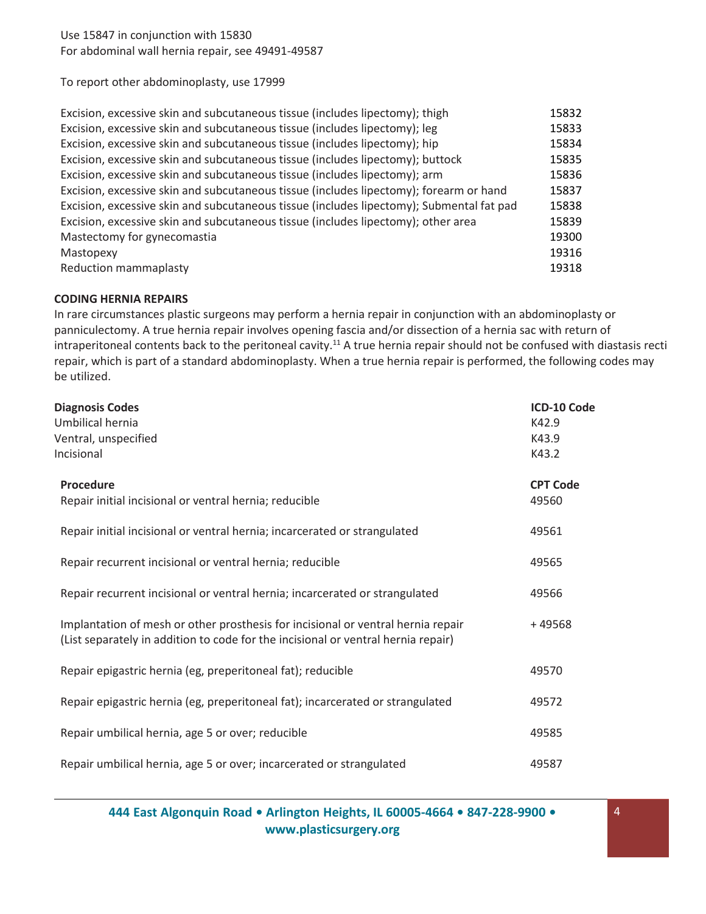Use 15847 in conjunction with 15830 For abdominal wall hernia repair, see 49491-49587

To report other abdominoplasty, use 17999

| Excision, excessive skin and subcutaneous tissue (includes lipectomy); thigh             | 15832 |
|------------------------------------------------------------------------------------------|-------|
| Excision, excessive skin and subcutaneous tissue (includes lipectomy); leg               | 15833 |
| Excision, excessive skin and subcutaneous tissue (includes lipectomy); hip               | 15834 |
| Excision, excessive skin and subcutaneous tissue (includes lipectomy); buttock           | 15835 |
| Excision, excessive skin and subcutaneous tissue (includes lipectomy); arm               | 15836 |
| Excision, excessive skin and subcutaneous tissue (includes lipectomy); forearm or hand   | 15837 |
| Excision, excessive skin and subcutaneous tissue (includes lipectomy); Submental fat pad | 15838 |
| Excision, excessive skin and subcutaneous tissue (includes lipectomy); other area        | 15839 |
| Mastectomy for gynecomastia                                                              | 19300 |
| Mastopexy                                                                                | 19316 |
| <b>Reduction mammaplasty</b>                                                             | 19318 |

#### **CODING HERNIA REPAIRS**

In rare circumstances plastic surgeons may perform a hernia repair in conjunction with an abdominoplasty or panniculectomy. A true hernia repair involves opening fascia and/or dissection of a hernia sac with return of intraperitoneal contents back to the peritoneal cavity.<sup>11</sup> A true hernia repair should not be confused with diastasis recti repair, which is part of a standard abdominoplasty. When a true hernia repair is performed, the following codes may be utilized.

| <b>Diagnosis Codes</b>                                                                                                                                                | ICD-10 Code     |
|-----------------------------------------------------------------------------------------------------------------------------------------------------------------------|-----------------|
| Umbilical hernia                                                                                                                                                      | K42.9           |
| Ventral, unspecified                                                                                                                                                  | K43.9           |
| Incisional                                                                                                                                                            | K43.2           |
| <b>Procedure</b>                                                                                                                                                      | <b>CPT Code</b> |
| Repair initial incisional or ventral hernia; reducible                                                                                                                | 49560           |
| Repair initial incisional or ventral hernia; incarcerated or strangulated                                                                                             | 49561           |
| Repair recurrent incisional or ventral hernia; reducible                                                                                                              | 49565           |
| Repair recurrent incisional or ventral hernia; incarcerated or strangulated                                                                                           | 49566           |
| Implantation of mesh or other prosthesis for incisional or ventral hernia repair<br>(List separately in addition to code for the incisional or ventral hernia repair) | $+49568$        |
| Repair epigastric hernia (eg, preperitoneal fat); reducible                                                                                                           | 49570           |
| Repair epigastric hernia (eg, preperitoneal fat); incarcerated or strangulated                                                                                        | 49572           |
| Repair umbilical hernia, age 5 or over; reducible                                                                                                                     | 49585           |
| Repair umbilical hernia, age 5 or over; incarcerated or strangulated                                                                                                  | 49587           |

**444 East Algonquin Road • Arlington Heights, IL 60005-4664 • 847-228-9900 • [www.plasticsurgery.org](http://www.plasticsurgery.org/)**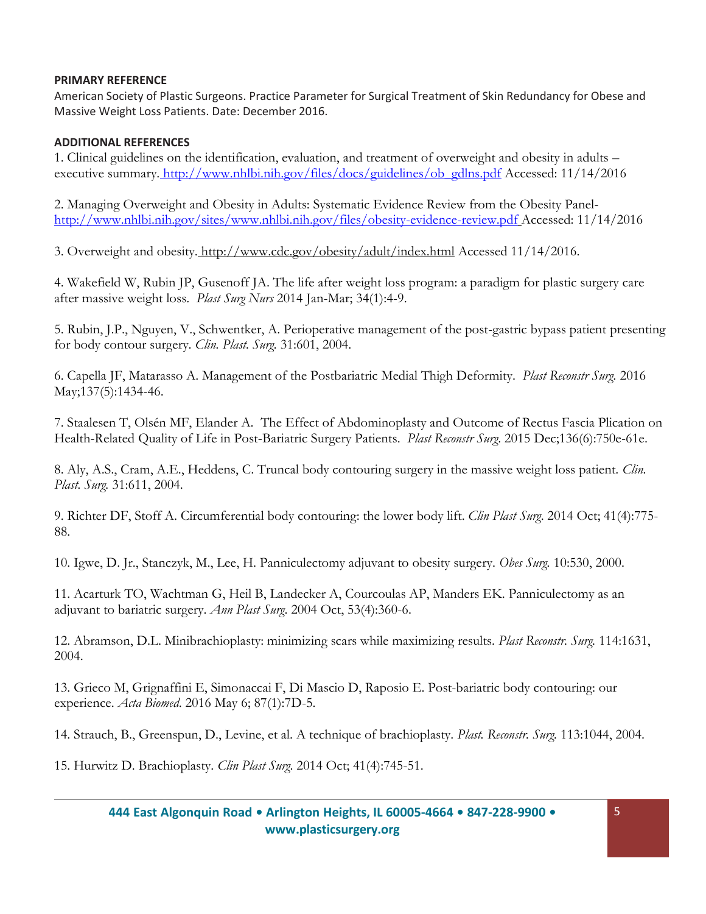### **PRIMARY REFERENCE**

American Society of Plastic Surgeons. Practice Parameter for Surgical Treatment of Skin Redundancy for Obese and Massive Weight Loss Patients. Date: December 2016.

# **ADDITIONAL REFERENCES**

1. Clinical guidelines on the identification, evaluation, and treatment of overweight and obesity in adults – executive summary. [http://www.nhlbi.nih.gov/files/docs/guidelines/ob\\_gdlns.pdf](http://www.nhlbi.nih.gov/files/docs/guidelines/ob_gdlns.pdf) Accessed: 11/14/2016

2. Managing Overweight and Obesity in Adults: Systematic Evidence Review from the Obesity Panel<http://www.nhlbi.nih.gov/sites/www.nhlbi.nih.gov/files/obesity-evidence-review.pdf> Accessed: 11/14/2016

3. Overweight and obesity. <http://www.cdc.gov/obesity/adult/index.html> Accessed 11/14/2016.

4. Wakefield W, Rubin JP, Gusenoff JA. The life after weight loss program: a paradigm for plastic surgery care after massive weight loss. *Plast Surg Nurs* 2014 Jan-Mar; 34(1):4-9.

5. Rubin, J.P., Nguyen, V., Schwentker, A. Perioperative management of the post-gastric bypass patient presenting for body contour surgery. *Clin. Plast. Surg.* 31:601, 2004.

6. Capella JF, Matarasso A. Management of the Postbariatric Medial Thigh Deformity. *Plast Reconstr Surg.* 2016 May;137(5):1434-46.

7. Staalesen T, Olsén MF, Elander A. The Effect of Abdominoplasty and Outcome of Rectus Fascia Plication on Health-Related Quality of Life in Post-Bariatric Surgery Patients. *Plast Reconstr Surg*. 2015 Dec;136(6):750e-61e.

8. Aly, A.S., Cram, A.E., Heddens, C. Truncal body contouring surgery in the massive weight loss patient. *Clin. Plast. Surg.* 31:611, 2004.

9. Richter DF, Stoff A. Circumferential body contouring: the lower body lift. *Clin Plast Surg*. 2014 Oct; 41(4):775- 88.

10. Igwe, D. Jr., Stanczyk, M., Lee, H. Panniculectomy adjuvant to obesity surgery. *Obes Surg.* 10:530, 2000.

11. Acarturk TO, Wachtman G, Heil B, Landecker A, Courcoulas AP, Manders EK. Panniculectomy as an adjuvant to bariatric surgery. *Ann Plast Surg*. 2004 Oct, 53(4):360-6.

12. Abramson, D.L. Minibrachioplasty: minimizing scars while maximizing results. *Plast Reconstr. Surg.* 114:1631, 2004.

13. Grieco M, Grignaffini E, Simonaccai F, Di Mascio D, Raposio E. Post-bariatric body contouring: our experience. *Acta Biomed*. 2016 May 6; 87(1):7D-5.

14. Strauch, B., Greenspun, D., Levine, et al. A technique of brachioplasty. *Plast. Reconstr. Surg.* 113:1044, 2004.

15. Hurwitz D. Brachioplasty. *Clin Plast Surg*. 2014 Oct; 41(4):745-51.